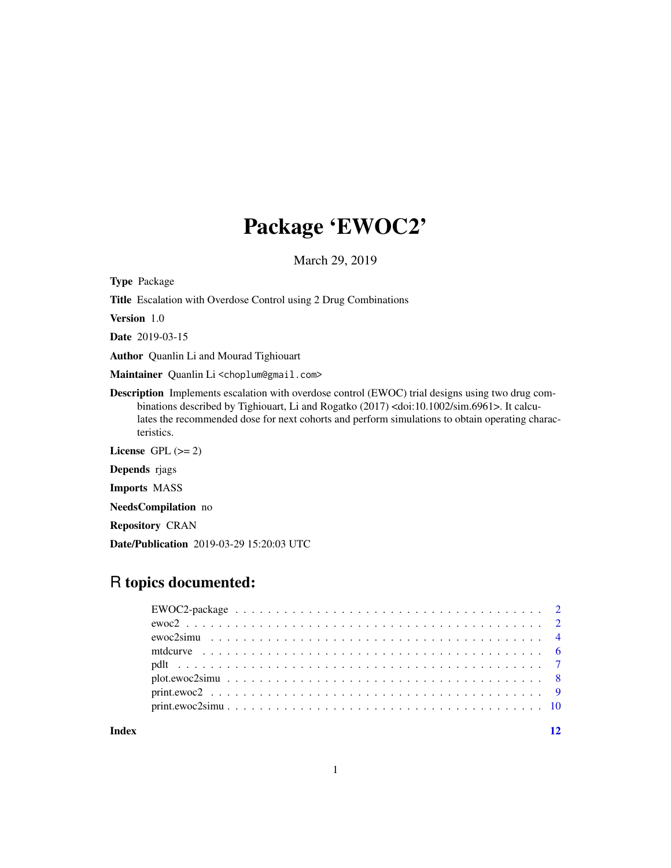## Package 'EWOC2'

March 29, 2019

Type Package

Title Escalation with Overdose Control using 2 Drug Combinations

Version 1.0

Date 2019-03-15

Author Quanlin Li and Mourad Tighiouart

Maintainer Quanlin Li<choplum@gmail.com>

Description Implements escalation with overdose control (EWOC) trial designs using two drug combinations described by Tighiouart, Li and Rogatko (2017) <doi:10.1002/sim.6961>. It calculates the recommended dose for next cohorts and perform simulations to obtain operating characteristics.

License GPL  $(>= 2)$ 

Depends rjags

Imports MASS

NeedsCompilation no

Repository CRAN

Date/Publication 2019-03-29 15:20:03 UTC

## R topics documented:

**Index** [12](#page-11-0)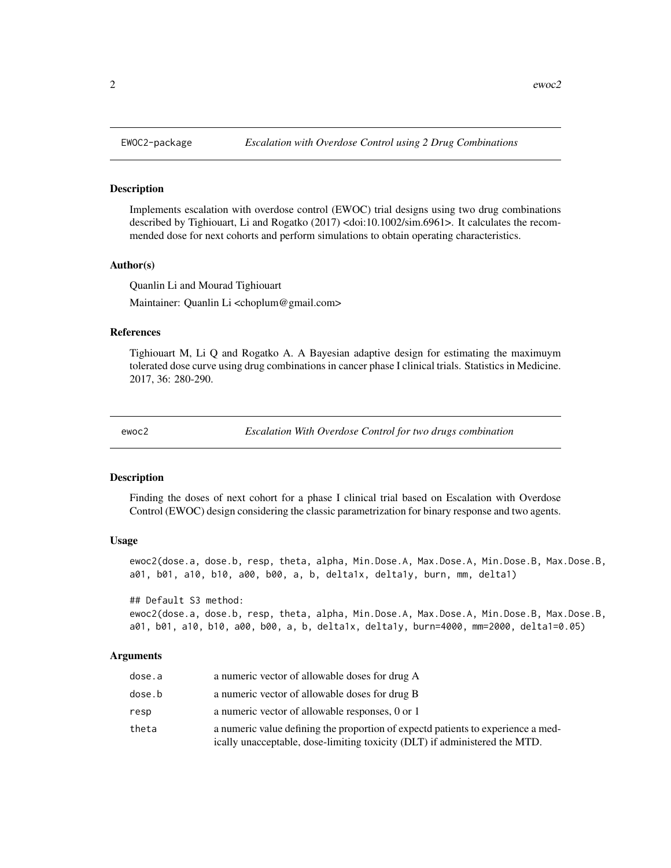#### Description

Implements escalation with overdose control (EWOC) trial designs using two drug combinations described by Tighiouart, Li and Rogatko (2017) <doi:10.1002/sim.6961>. It calculates the recommended dose for next cohorts and perform simulations to obtain operating characteristics.

#### Author(s)

Quanlin Li and Mourad Tighiouart Maintainer: Quanlin Li <choplum@gmail.com>

#### References

Tighiouart M, Li Q and Rogatko A. A Bayesian adaptive design for estimating the maximuym tolerated dose curve using drug combinations in cancer phase I clinical trials. Statistics in Medicine. 2017, 36: 280-290.

ewoc2 *Escalation With Overdose Control for two drugs combination*

#### **Description**

Finding the doses of next cohort for a phase I clinical trial based on Escalation with Overdose Control (EWOC) design considering the classic parametrization for binary response and two agents.

#### Usage

ewoc2(dose.a, dose.b, resp, theta, alpha, Min.Dose.A, Max.Dose.A, Min.Dose.B, Max.Dose.B, a01, b01, a10, b10, a00, b00, a, b, delta1x, delta1y, burn, mm, delta1)

## Default S3 method:

```
ewoc2(dose.a, dose.b, resp, theta, alpha, Min.Dose.A, Max.Dose.A, Min.Dose.B, Max.Dose.B,
a01, b01, a10, b10, a00, b00, a, b, delta1x, delta1y, burn=4000, mm=2000, delta1=0.05)
```
### Arguments

| dose.a | a numeric vector of allowable doses for drug A                                                                                                                 |
|--------|----------------------------------------------------------------------------------------------------------------------------------------------------------------|
| dose.b | a numeric vector of allowable doses for drug B                                                                                                                 |
| resp   | a numeric vector of allowable responses, 0 or 1                                                                                                                |
| theta  | a numeric value defining the proportion of expectd patients to experience a med-<br>ically unacceptable, dose-limiting toxicity (DLT) if administered the MTD. |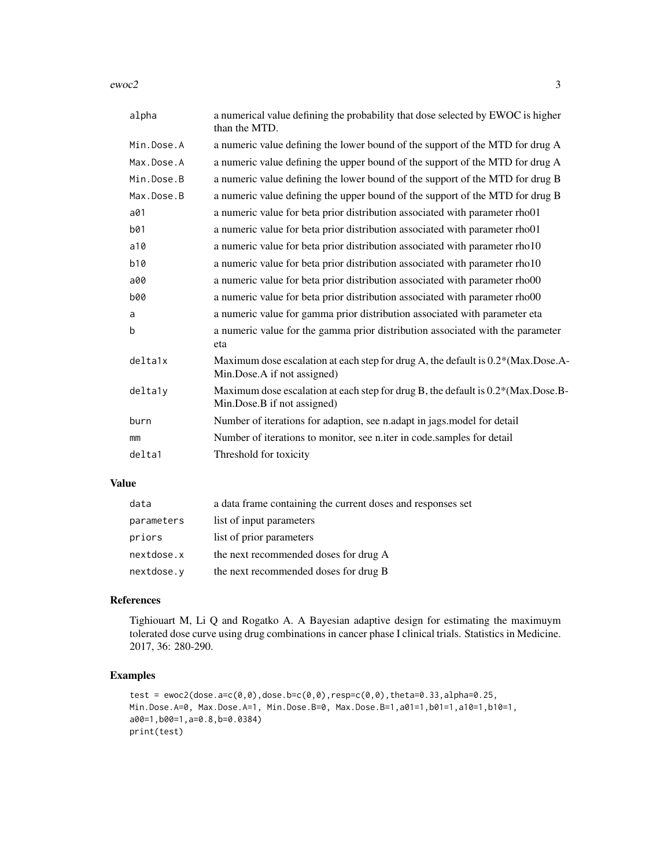$e$ woc $2$  3

| alpha      | a numerical value defining the probability that dose selected by EWOC is higher<br>than the MTD.                |
|------------|-----------------------------------------------------------------------------------------------------------------|
| Min.Dose.A | a numeric value defining the lower bound of the support of the MTD for drug A                                   |
| Max.Dose.A | a numeric value defining the upper bound of the support of the MTD for drug A                                   |
| Min.Dose.B | a numeric value defining the lower bound of the support of the MTD for drug B                                   |
| Max.Dose.B | a numeric value defining the upper bound of the support of the MTD for drug B                                   |
| a01        | a numeric value for beta prior distribution associated with parameter rho01                                     |
| b01        | a numeric value for beta prior distribution associated with parameter rho01                                     |
| a10        | a numeric value for beta prior distribution associated with parameter rho10                                     |
| b10        | a numeric value for beta prior distribution associated with parameter rho10                                     |
| a00        | a numeric value for beta prior distribution associated with parameter rho00                                     |
| <b>b00</b> | a numeric value for beta prior distribution associated with parameter rho00                                     |
| a          | a numeric value for gamma prior distribution associated with parameter eta                                      |
| b          | a numeric value for the gamma prior distribution associated with the parameter<br>eta                           |
| delta1x    | Maximum dose escalation at each step for drug A, the default is 0.2*(Max.Dose.A-<br>Min.Dose.A if not assigned) |
| deltaly    | Maximum dose escalation at each step for drug B, the default is 0.2*(Max.Dose.B-<br>Min.Dose.B if not assigned) |
| burn       | Number of iterations for adaption, see n.adapt in jags.model for detail                                         |
| mm         | Number of iterations to monitor, see n.iter in code.samples for detail                                          |
| delta1     | Threshold for toxicity                                                                                          |

## Value

| data       | a data frame containing the current doses and responses set |
|------------|-------------------------------------------------------------|
| parameters | list of input parameters                                    |
| priors     | list of prior parameters                                    |
| nextdose.x | the next recommended doses for drug A                       |
| nextdose.y | the next recommended doses for drug B                       |

## References

Tighiouart M, Li Q and Rogatko A. A Bayesian adaptive design for estimating the maximuym tolerated dose curve using drug combinations in cancer phase I clinical trials. Statistics in Medicine. 2017, 36: 280-290.

```
test = ewoc2(dose.a=c(0,0),dose.b=c(0,0),resp=c(0,0),theta=0.33,alpha=0.25,
Min.Dose.A=0, Max.Dose.A=1, Min.Dose.B=0, Max.Dose.B=1,a01=1,b01=1,a10=1,b10=1,
a00=1,b00=1,a=0.8,b=0.0384)
print(test)
```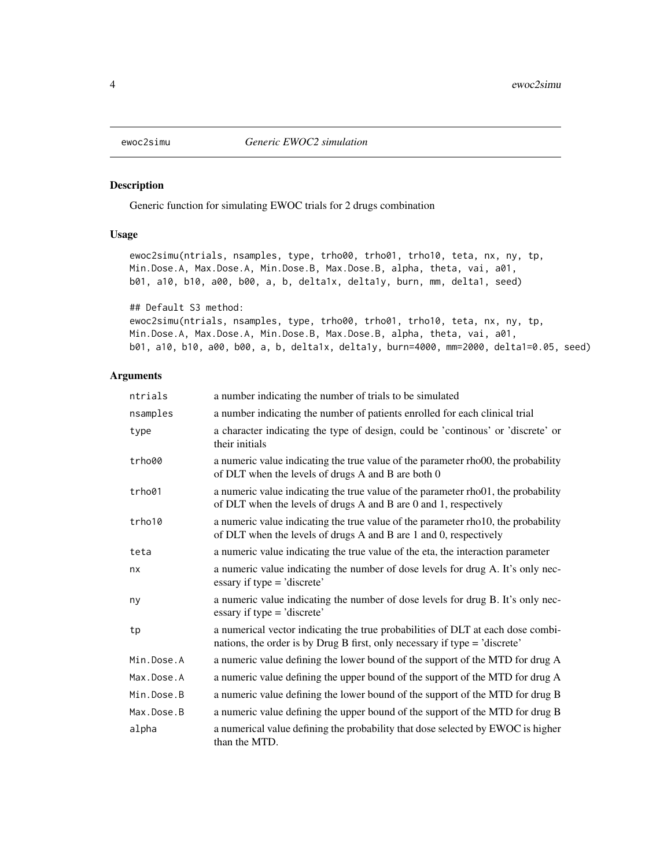<span id="page-3-0"></span>

## Description

Generic function for simulating EWOC trials for 2 drugs combination

## Usage

ewoc2simu(ntrials, nsamples, type, trho00, trho01, trho10, teta, nx, ny, tp, Min.Dose.A, Max.Dose.A, Min.Dose.B, Max.Dose.B, alpha, theta, vai, a01, b01, a10, b10, a00, b00, a, b, delta1x, delta1y, burn, mm, delta1, seed)

```
## Default S3 method:
```

```
ewoc2simu(ntrials, nsamples, type, trho00, trho01, trho10, teta, nx, ny, tp,
Min.Dose.A, Max.Dose.A, Min.Dose.B, Max.Dose.B, alpha, theta, vai, a01,
b01, a10, b10, a00, b00, a, b, delta1x, delta1y, burn=4000, mm=2000, delta1=0.05, seed)
```
## Arguments

| ntrials    | a number indicating the number of trials to be simulated                                                                                                      |
|------------|---------------------------------------------------------------------------------------------------------------------------------------------------------------|
| nsamples   | a number indicating the number of patients enrolled for each clinical trial                                                                                   |
| type       | a character indicating the type of design, could be 'continous' or 'discrete' or<br>their initials                                                            |
| trho00     | a numeric value indicating the true value of the parameter rhooo, the probability<br>of DLT when the levels of drugs A and B are both 0                       |
| trho01     | a numeric value indicating the true value of the parameter rho01, the probability<br>of DLT when the levels of drugs A and B are 0 and 1, respectively        |
| trho10     | a numeric value indicating the true value of the parameter rho10, the probability<br>of DLT when the levels of drugs A and B are 1 and 0, respectively        |
| teta       | a numeric value indicating the true value of the eta, the interaction parameter                                                                               |
| nx         | a numeric value indicating the number of dose levels for drug A. It's only nec-<br>essary if type $=$ 'discrete'                                              |
| ny         | a numeric value indicating the number of dose levels for drug B. It's only nec-<br>essary if type = 'discrete'                                                |
| tp         | a numerical vector indicating the true probabilities of DLT at each dose combi-<br>nations, the order is by Drug B first, only necessary if type = 'discrete' |
| Min.Dose.A | a numeric value defining the lower bound of the support of the MTD for drug A                                                                                 |
| Max.Dose.A | a numeric value defining the upper bound of the support of the MTD for drug A                                                                                 |
| Min.Dose.B | a numeric value defining the lower bound of the support of the MTD for drug B                                                                                 |
| Max.Dose.B | a numeric value defining the upper bound of the support of the MTD for drug B                                                                                 |
| alpha      | a numerical value defining the probability that dose selected by EWOC is higher<br>than the MTD.                                                              |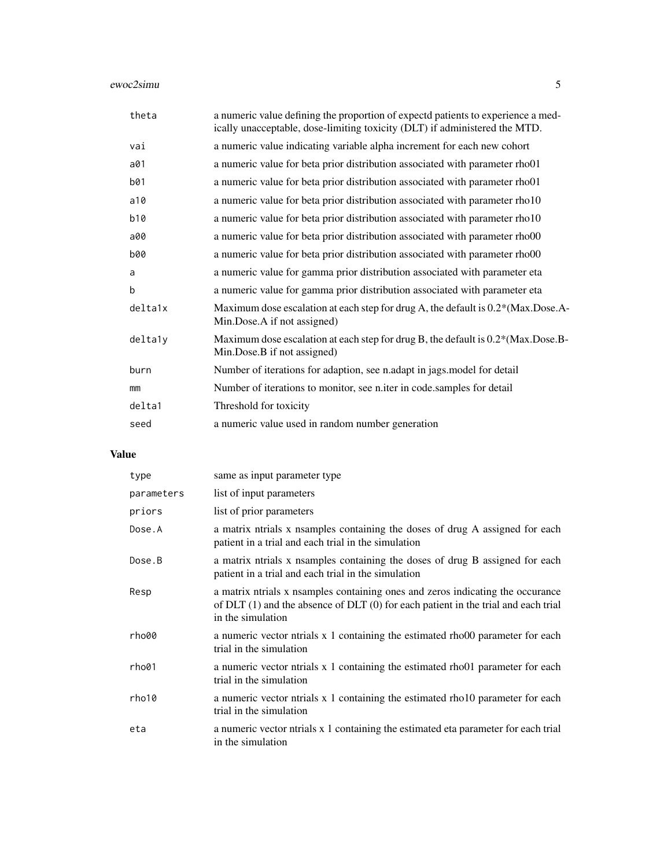## ewoc2simu 5

| theta      | a numeric value defining the proportion of expectd patients to experience a med-<br>ically unacceptable, dose-limiting toxicity (DLT) if administered the MTD. |
|------------|----------------------------------------------------------------------------------------------------------------------------------------------------------------|
| vai        | a numeric value indicating variable alpha increment for each new cohort                                                                                        |
| a01        | a numeric value for beta prior distribution associated with parameter rho01                                                                                    |
| b01        | a numeric value for beta prior distribution associated with parameter rho01                                                                                    |
| a10        | a numeric value for beta prior distribution associated with parameter rho10                                                                                    |
| b10        | a numeric value for beta prior distribution associated with parameter rho10                                                                                    |
| a00        | a numeric value for beta prior distribution associated with parameter rho00                                                                                    |
| <b>b00</b> | a numeric value for beta prior distribution associated with parameter rho00                                                                                    |
| a          | a numeric value for gamma prior distribution associated with parameter eta                                                                                     |
| b          | a numeric value for gamma prior distribution associated with parameter eta                                                                                     |
| delta1x    | Maximum dose escalation at each step for drug A, the default is 0.2*(Max.Dose.A-<br>Min.Dose.A if not assigned)                                                |
| deltaly    | Maximum dose escalation at each step for drug B, the default is 0.2*(Max.Dose.B-<br>Min.Dose.B if not assigned)                                                |
| burn       | Number of iterations for adaption, see n.adapt in jags model for detail                                                                                        |
| mm         | Number of iterations to monitor, see n.iter in code.samples for detail                                                                                         |
| delta1     | Threshold for toxicity                                                                                                                                         |
| seed       | a numeric value used in random number generation                                                                                                               |

## Value

| type       | same as input parameter type                                                                                                                                                                |
|------------|---------------------------------------------------------------------------------------------------------------------------------------------------------------------------------------------|
| parameters | list of input parameters                                                                                                                                                                    |
| priors     | list of prior parameters                                                                                                                                                                    |
| Dose.A     | a matrix ntrials x nsamples containing the doses of drug A assigned for each<br>patient in a trial and each trial in the simulation                                                         |
| Dose.B     | a matrix ntrials x nsamples containing the doses of drug B assigned for each<br>patient in a trial and each trial in the simulation                                                         |
| Resp       | a matrix ntrials x nsamples containing ones and zeros indicating the occurance<br>of $DLT(1)$ and the absence of $DLT(0)$ for each patient in the trial and each trial<br>in the simulation |
| rho00      | a numeric vector ntrials x 1 containing the estimated rhood parameter for each<br>trial in the simulation                                                                                   |
| rho01      | a numeric vector ntrials x 1 containing the estimated rhool parameter for each<br>trial in the simulation                                                                                   |
| rho10      | a numeric vector ntrials x 1 containing the estimated rho10 parameter for each<br>trial in the simulation                                                                                   |
| eta        | a numeric vector ntrials x 1 containing the estimated eta parameter for each trial<br>in the simulation                                                                                     |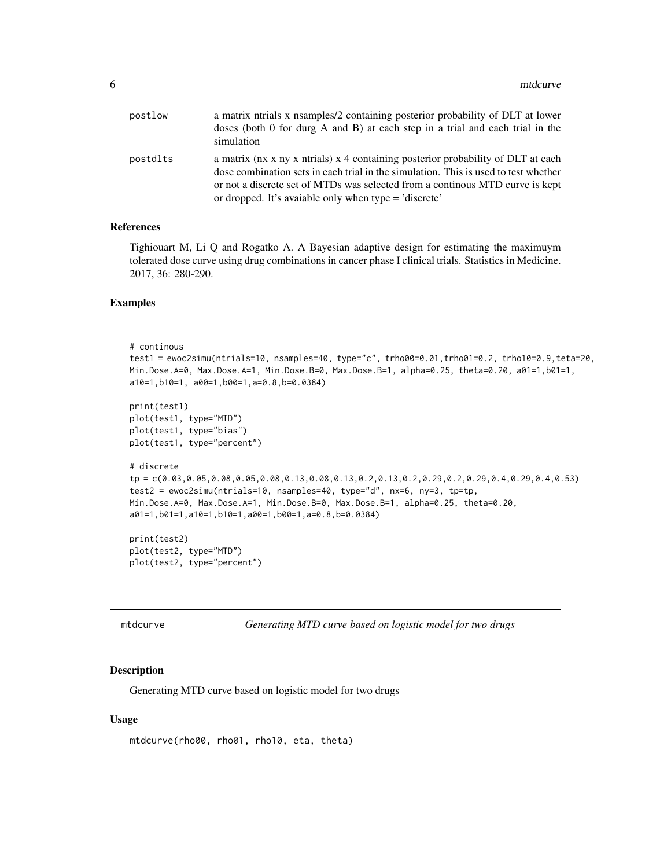<span id="page-5-0"></span>

| postlow  | a matrix ntrials x nsamples/2 containing posterior probability of DLT at lower<br>doses (both 0 for durg A and B) at each step in a trial and each trial in the<br>simulation                                                                                                                                     |
|----------|-------------------------------------------------------------------------------------------------------------------------------------------------------------------------------------------------------------------------------------------------------------------------------------------------------------------|
| postdlts | a matrix (nx x ny x ntrials) x 4 containing posterior probability of DLT at each<br>dose combination sets in each trial in the simulation. This is used to test whether<br>or not a discrete set of MTDs was selected from a continous MTD curve is kept<br>or dropped. It's avaiable only when type = 'discrete' |

## References

Tighiouart M, Li Q and Rogatko A. A Bayesian adaptive design for estimating the maximuym tolerated dose curve using drug combinations in cancer phase I clinical trials. Statistics in Medicine. 2017, 36: 280-290.

#### Examples

```
# continous
test1 = ewoc2simu(ntrials=10, nsamples=40, type="c", trho00=0.01,trho01=0.2, trho10=0.9,teta=20,
Min.Dose.A=0, Max.Dose.A=1, Min.Dose.B=0, Max.Dose.B=1, alpha=0.25, theta=0.20, a01=1,b01=1,
a10=1,b10=1, a00=1,b00=1,a=0.8,b=0.0384)
print(test1)
plot(test1, type="MTD")
plot(test1, type="bias")
plot(test1, type="percent")
# discrete
tp = c(0.03,0.05,0.08,0.05,0.08,0.13,0.08,0.13,0.2,0.13,0.2,0.29,0.2,0.29,0.4,0.29,0.4,0.53)
test2 = ewoc2simu(ntrials=10, nsamples=40, type="d", nx=6, ny=3, tp=tp,
Min.Dose.A=0, Max.Dose.A=1, Min.Dose.B=0, Max.Dose.B=1, alpha=0.25, theta=0.20,
a01=1,b01=1,a10=1,b10=1,a00=1,b00=1,a=0.8,b=0.0384)
print(test2)
plot(test2, type="MTD")
plot(test2, type="percent")
```

|  |  | mtdcurve |
|--|--|----------|
|--|--|----------|

Generating MTD curve based on logistic model for two drugs

## Description

Generating MTD curve based on logistic model for two drugs

#### Usage

```
mtdcurve(rho00, rho01, rho10, eta, theta)
```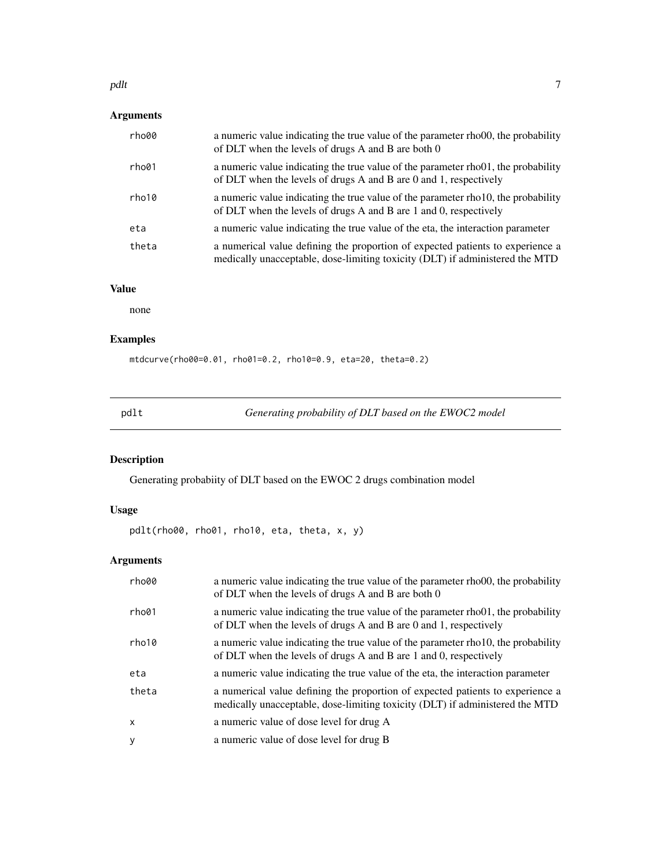#### <span id="page-6-0"></span>pdlt the contract of the contract of the contract of the contract of the contract of the contract of the contract of the contract of the contract of the contract of the contract of the contract of the contract of the contr

## Arguments

| rho00 | a numeric value indicating the true value of the parameter rhoot, the probability<br>of DLT when the levels of drugs A and B are both 0                             |
|-------|---------------------------------------------------------------------------------------------------------------------------------------------------------------------|
| rho01 | a numeric value indicating the true value of the parameter rho01, the probability<br>of DLT when the levels of drugs A and B are 0 and 1, respectively              |
| rho10 | a numeric value indicating the true value of the parameter rho <sub>10</sub> , the probability<br>of DLT when the levels of drugs A and B are 1 and 0, respectively |
| eta   | a numeric value indicating the true value of the eta, the interaction parameter                                                                                     |
| theta | a numerical value defining the proportion of expected patients to experience a<br>medically unacceptable, dose-limiting toxicity (DLT) if administered the MTD      |

## Value

none

## Examples

mtdcurve(rho00=0.01, rho01=0.2, rho10=0.9, eta=20, theta=0.2)

pdlt *Generating probability of DLT based on the EWOC2 model*

## Description

Generating probabiity of DLT based on the EWOC 2 drugs combination model

## Usage

pdlt(rho00, rho01, rho10, eta, theta, x, y)

## Arguments

| rho00        | a numeric value indicating the true value of the parameter rhoot, the probability<br>of DLT when the levels of drugs A and B are both 0                        |
|--------------|----------------------------------------------------------------------------------------------------------------------------------------------------------------|
| rho01        | a numeric value indicating the true value of the parameter rhoot, the probability<br>of DLT when the levels of drugs A and B are 0 and 1, respectively         |
| rho10        | a numeric value indicating the true value of the parameter rho10, the probability<br>of DLT when the levels of drugs A and B are 1 and 0, respectively         |
| eta          | a numeric value indicating the true value of the eta, the interaction parameter                                                                                |
| theta        | a numerical value defining the proportion of expected patients to experience a<br>medically unacceptable, dose-limiting toxicity (DLT) if administered the MTD |
| $\mathsf{x}$ | a numeric value of dose level for drug A                                                                                                                       |
| y            | a numeric value of dose level for drug B                                                                                                                       |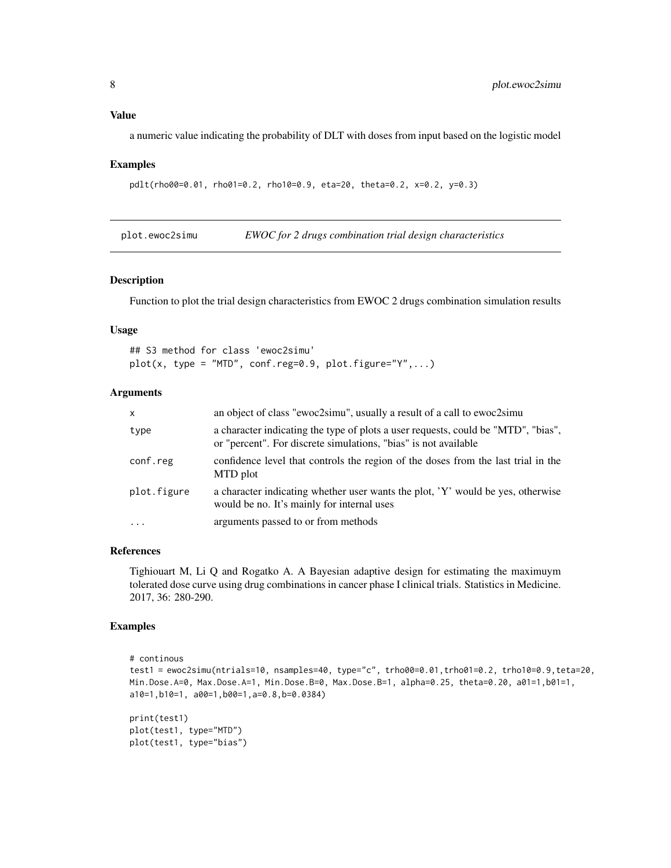## <span id="page-7-0"></span>Value

a numeric value indicating the probability of DLT with doses from input based on the logistic model

#### Examples

```
pdlt(rho00=0.01, rho01=0.2, rho10=0.9, eta=20, theta=0.2, x=0.2, y=0.3)
```
plot.ewoc2simu *EWOC for 2 drugs combination trial design characteristics*

## Description

Function to plot the trial design characteristics from EWOC 2 drugs combination simulation results

## Usage

```
## S3 method for class 'ewoc2simu'
plot(x, type = "MTD", conf.reg=0.9, plot. figure="Y",...)
```
## Arguments

| $\mathsf{x}$ | an object of class "ewoc2simu", usually a result of a call to ewoc2simu                                                                              |
|--------------|------------------------------------------------------------------------------------------------------------------------------------------------------|
| type         | a character indicating the type of plots a user requests, could be "MTD", "bias",<br>or "percent". For discrete simulations, "bias" is not available |
| conf.reg     | confidence level that controls the region of the doses from the last trial in the<br>MTD plot                                                        |
| plot.figure  | a character indicating whether user wants the plot, 'Y' would be yes, otherwise<br>would be no. It's mainly for internal uses                        |
| $\ddotsc$    | arguments passed to or from methods                                                                                                                  |

## References

Tighiouart M, Li Q and Rogatko A. A Bayesian adaptive design for estimating the maximuym tolerated dose curve using drug combinations in cancer phase I clinical trials. Statistics in Medicine. 2017, 36: 280-290.

```
# continous
test1 = ewoc2simu(ntrials=10, nsamples=40, type="c", trho00=0.01,trho01=0.2, trho10=0.9,teta=20,
Min.Dose.A=0, Max.Dose.A=1, Min.Dose.B=0, Max.Dose.B=1, alpha=0.25, theta=0.20, a01=1,b01=1,
a10=1,b10=1, a00=1,b00=1,a=0.8,b=0.0384)
print(test1)
plot(test1, type="MTD")
plot(test1, type="bias")
```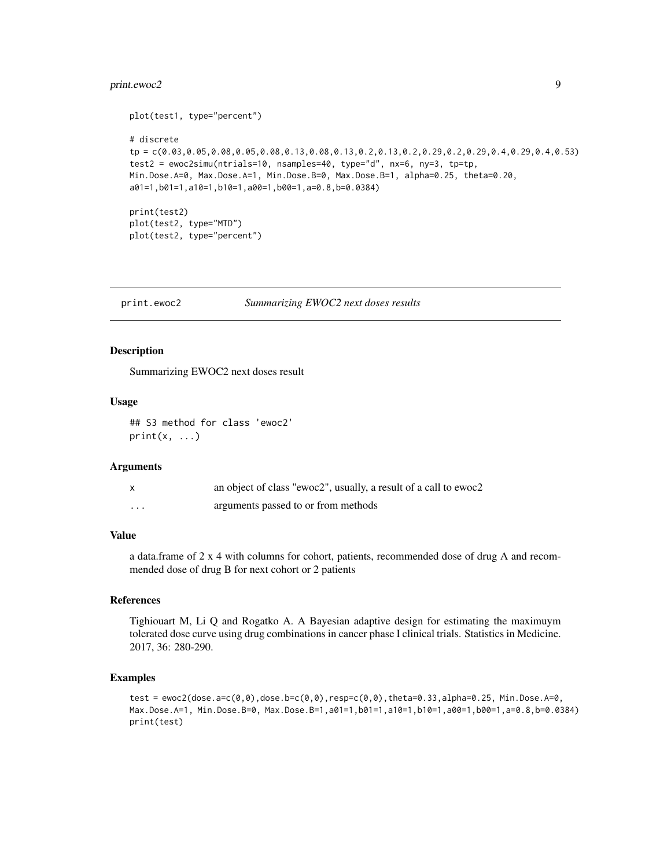## <span id="page-8-0"></span>print.ewoc2 9

```
plot(test1, type="percent")
# discrete
tp = c(0.03,0.05,0.08,0.05,0.08,0.13,0.08,0.13,0.2,0.13,0.2,0.29,0.2,0.29,0.4,0.29,0.4,0.53)
test2 = ewoc2simu(ntrials=10, nsamples=40, type="d", nx=6, ny=3, tp=tp,
Min.Dose.A=0, Max.Dose.A=1, Min.Dose.B=0, Max.Dose.B=1, alpha=0.25, theta=0.20,
a01=1,b01=1,a10=1,b10=1,a00=1,b00=1,a=0.8,b=0.0384)
print(test2)
plot(test2, type="MTD")
plot(test2, type="percent")
```
print.ewoc2 *Summarizing EWOC2 next doses results*

## Description

Summarizing EWOC2 next doses result

## Usage

```
## S3 method for class 'ewoc2'
print(x, \ldots)
```
## Arguments

|          | an object of class "ewoc2", usually, a result of a call to ewoc2 |
|----------|------------------------------------------------------------------|
| $\cdots$ | arguments passed to or from methods                              |

## Value

a data.frame of 2 x 4 with columns for cohort, patients, recommended dose of drug A and recommended dose of drug B for next cohort or 2 patients

## **References**

Tighiouart M, Li Q and Rogatko A. A Bayesian adaptive design for estimating the maximuym tolerated dose curve using drug combinations in cancer phase I clinical trials. Statistics in Medicine. 2017, 36: 280-290.

```
test = ewoc2(dose.a=c(0,0),dose.b=c(0,0),resp=c(0,0),theta=0.33,alpha=0.25, Min.Dose.A=0,
Max.Dose.A=1, Min.Dose.B=0, Max.Dose.B=1,a01=1,b01=1,a10=1,b10=1,a00=1,b00=1,a=0.8,b=0.0384)
print(test)
```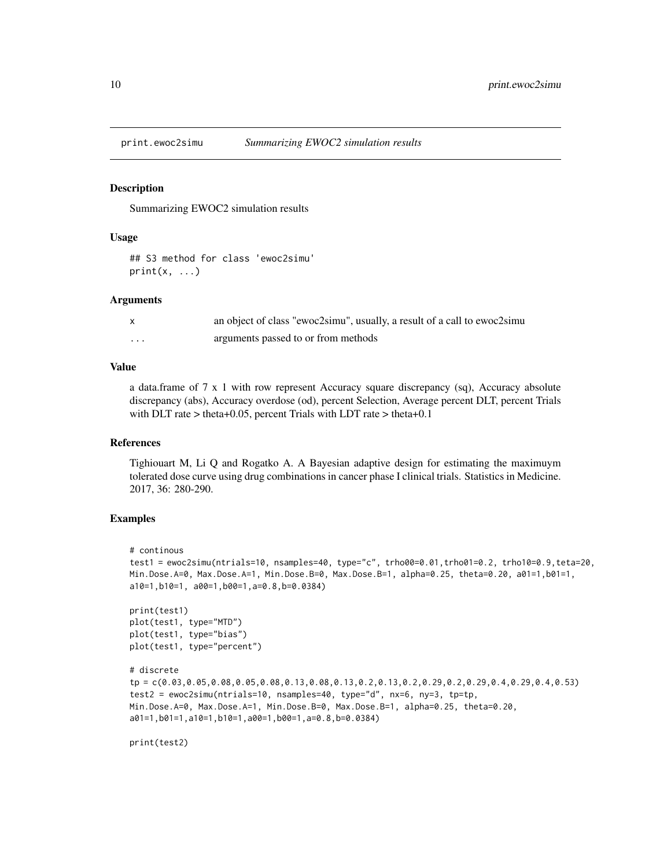<span id="page-9-0"></span>

## **Description**

Summarizing EWOC2 simulation results

## Usage

```
## S3 method for class 'ewoc2simu'
print(x, \ldots)
```
## Arguments

|          | an object of class "ewoc2simu", usually, a result of a call to ewoc2simu |
|----------|--------------------------------------------------------------------------|
| $\cdots$ | arguments passed to or from methods                                      |

## Value

a data.frame of 7 x 1 with row represent Accuracy square discrepancy (sq), Accuracy absolute discrepancy (abs), Accuracy overdose (od), percent Selection, Average percent DLT, percent Trials with DLT rate > theta+0.05, percent Trials with LDT rate > theta+0.1

#### References

Tighiouart M, Li Q and Rogatko A. A Bayesian adaptive design for estimating the maximuym tolerated dose curve using drug combinations in cancer phase I clinical trials. Statistics in Medicine. 2017, 36: 280-290.

```
# continous
test1 = ewoc2simu(ntrials=10, nsamples=40, type="c", trho00=0.01,trho01=0.2, trho10=0.9,teta=20,
Min.Dose.A=0, Max.Dose.A=1, Min.Dose.B=0, Max.Dose.B=1, alpha=0.25, theta=0.20, a01=1,b01=1,
a10=1,b10=1, a00=1,b00=1,a=0.8,b=0.0384)
print(test1)
plot(test1, type="MTD")
plot(test1, type="bias")
plot(test1, type="percent")
# discrete
tp = c(0.03,0.05,0.08,0.05,0.08,0.13,0.08,0.13,0.2,0.13,0.2,0.29,0.2,0.29,0.4,0.29,0.4,0.53)
test2 = ewoc2simu(ntrials=10, nsamples=40, type="d", nx=6, ny=3, tp=tp,
Min.Dose.A=0, Max.Dose.A=1, Min.Dose.B=0, Max.Dose.B=1, alpha=0.25, theta=0.20,
a01=1,b01=1,a10=1,b10=1,a00=1,b00=1,a=0.8,b=0.0384)
```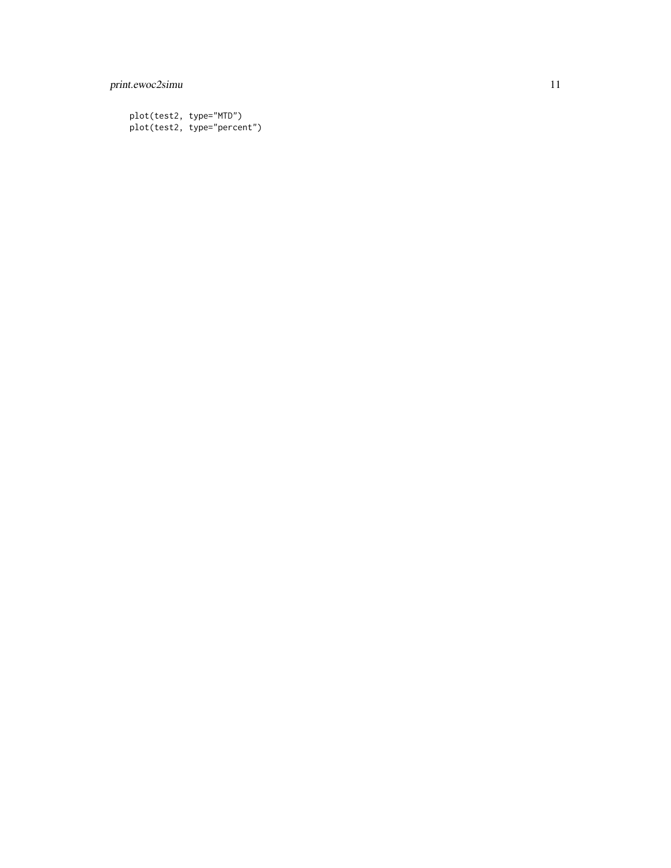## print.ewoc2simu 11

plot(test2, type="MTD") plot(test2, type="percent")